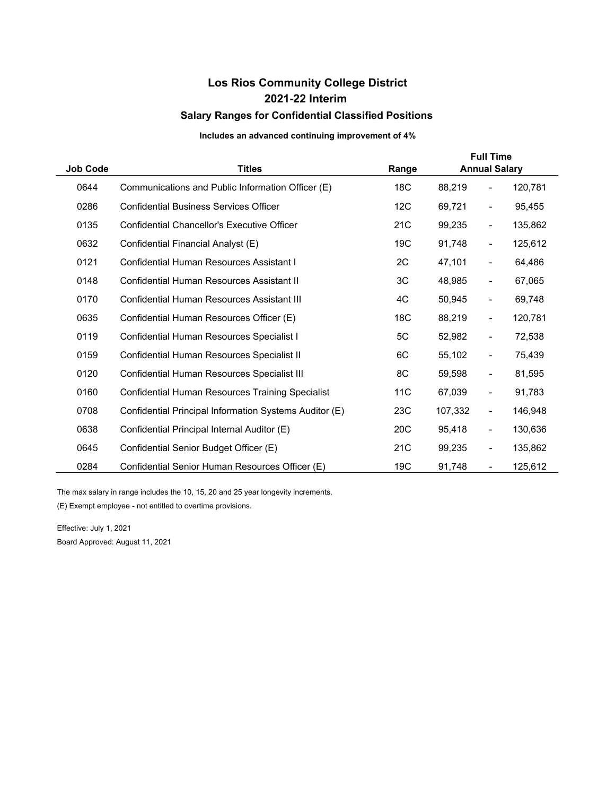## **Los Rios Community College District Salary Ranges for Confidential Classified Positions 2021-22 Interim**

## **Includes an advanced continuing improvement of 4%**

| <b>Job Code</b> | <b>Titles</b>                                          | Range | <b>Full Time</b><br><b>Annual Salary</b> |                              |         |  |
|-----------------|--------------------------------------------------------|-------|------------------------------------------|------------------------------|---------|--|
| 0644            | Communications and Public Information Officer (E)      | 18C   | 88,219                                   | $\overline{\phantom{0}}$     | 120,781 |  |
| 0286            | <b>Confidential Business Services Officer</b>          | 12C   | 69,721                                   | $\overline{\phantom{0}}$     | 95,455  |  |
| 0135            | <b>Confidential Chancellor's Executive Officer</b>     | 21C   | 99,235                                   | $\qquad \qquad \blacksquare$ | 135,862 |  |
| 0632            | Confidential Financial Analyst (E)                     | 19C   | 91,748                                   | $\overline{\phantom{0}}$     | 125,612 |  |
| 0121            | Confidential Human Resources Assistant I               | 2C    | 47,101                                   | $\qquad \qquad \blacksquare$ | 64,486  |  |
| 0148            | Confidential Human Resources Assistant II              | 3C    | 48,985                                   | $\qquad \qquad \blacksquare$ | 67,065  |  |
| 0170            | Confidential Human Resources Assistant III             | 4C    | 50,945                                   | $\qquad \qquad \blacksquare$ | 69,748  |  |
| 0635            | Confidential Human Resources Officer (E)               | 18C   | 88,219                                   | $\overline{\phantom{0}}$     | 120,781 |  |
| 0119            | Confidential Human Resources Specialist I              | 5C    | 52,982                                   | -                            | 72,538  |  |
| 0159            | Confidential Human Resources Specialist II             | 6C    | 55,102                                   | -                            | 75,439  |  |
| 0120            | Confidential Human Resources Specialist III            | 8C    | 59,598                                   | $\overline{\phantom{a}}$     | 81,595  |  |
| 0160            | Confidential Human Resources Training Specialist       | 11C   | 67,039                                   | $\overline{\phantom{0}}$     | 91,783  |  |
| 0708            | Confidential Principal Information Systems Auditor (E) | 23C   | 107,332                                  | $\overline{\phantom{a}}$     | 146,948 |  |
| 0638            | Confidential Principal Internal Auditor (E)            | 20C   | 95,418                                   | $\overline{\phantom{a}}$     | 130,636 |  |
| 0645            | Confidential Senior Budget Officer (E)                 | 21C   | 99,235                                   | $\overline{\phantom{a}}$     | 135,862 |  |
| 0284            | Confidential Senior Human Resources Officer (E)        | 19C   | 91,748                                   | $\overline{\phantom{m}}$     | 125,612 |  |

(E) Exempt employee - not entitled to overtime provisions. The max salary in range includes the 10, 15, 20 and 25 year longevity increments.

Effective: July 1, 2021 Board Approved: August 11, 2021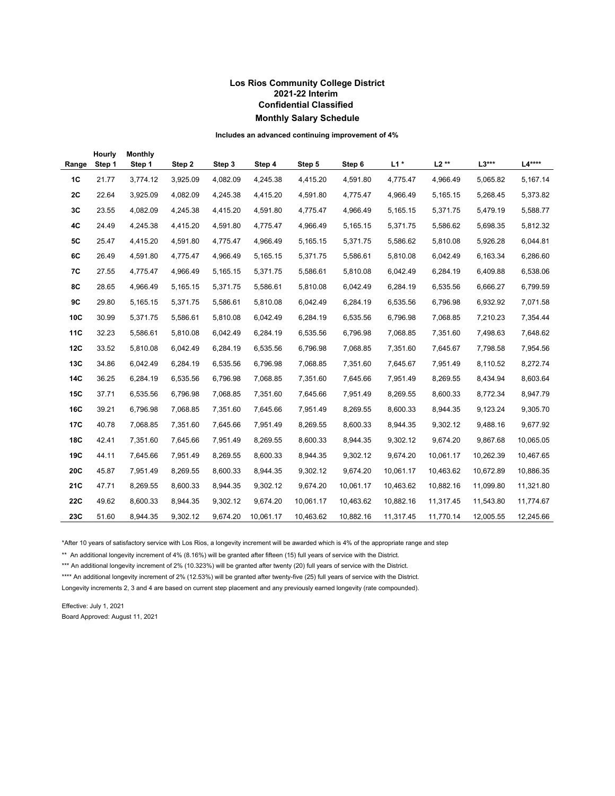## **Los Rios Community College District 2021-22 Interim Confidential Classified Monthly Salary Schedule**

**Includes an advanced continuing improvement of 4%** 

| Range      | Hourly<br>Step 1 | <b>Monthly</b><br>Step 1 | Step 2   | Step 3   | Step 4    | Step 5    | Step 6    | $L1*$     | $L2**$    | $L3***$   | L4****    |
|------------|------------------|--------------------------|----------|----------|-----------|-----------|-----------|-----------|-----------|-----------|-----------|
| 1C         | 21.77            | 3,774.12                 | 3,925.09 | 4,082.09 | 4,245.38  | 4,415.20  | 4,591.80  | 4,775.47  | 4,966.49  | 5,065.82  | 5,167.14  |
| 2C         | 22.64            | 3,925.09                 | 4,082.09 | 4,245.38 | 4,415.20  | 4,591.80  | 4,775.47  | 4,966.49  | 5,165.15  | 5,268.45  | 5,373.82  |
| 3C         | 23.55            | 4,082.09                 | 4,245.38 | 4,415.20 | 4,591.80  | 4,775.47  | 4,966.49  | 5,165.15  | 5,371.75  | 5,479.19  | 5,588.77  |
| 4C         | 24.49            | 4,245.38                 | 4,415.20 | 4,591.80 | 4,775.47  | 4,966.49  | 5,165.15  | 5,371.75  | 5,586.62  | 5,698.35  | 5,812.32  |
| <b>5C</b>  | 25.47            | 4,415.20                 | 4,591.80 | 4,775.47 | 4,966.49  | 5,165.15  | 5,371.75  | 5,586.62  | 5,810.08  | 5,926.28  | 6,044.81  |
| 6C         | 26.49            | 4,591.80                 | 4,775.47 | 4,966.49 | 5,165.15  | 5,371.75  | 5,586.61  | 5,810.08  | 6,042.49  | 6,163.34  | 6,286.60  |
| 7C         | 27.55            | 4,775.47                 | 4,966.49 | 5,165.15 | 5,371.75  | 5,586.61  | 5,810.08  | 6,042.49  | 6,284.19  | 6,409.88  | 6,538.06  |
| 8C         | 28.65            | 4,966.49                 | 5,165.15 | 5,371.75 | 5,586.61  | 5,810.08  | 6,042.49  | 6,284.19  | 6,535.56  | 6,666.27  | 6,799.59  |
| 9C         | 29.80            | 5,165.15                 | 5,371.75 | 5,586.61 | 5,810.08  | 6,042.49  | 6,284.19  | 6,535.56  | 6,796.98  | 6,932.92  | 7,071.58  |
| 10C        | 30.99            | 5,371.75                 | 5,586.61 | 5,810.08 | 6,042.49  | 6,284.19  | 6,535.56  | 6,796.98  | 7,068.85  | 7,210.23  | 7,354.44  |
| <b>11C</b> | 32.23            | 5,586.61                 | 5,810.08 | 6,042.49 | 6,284.19  | 6,535.56  | 6,796.98  | 7,068.85  | 7,351.60  | 7,498.63  | 7,648.62  |
| 12C        | 33.52            | 5,810.08                 | 6,042.49 | 6,284.19 | 6,535.56  | 6,796.98  | 7,068.85  | 7,351.60  | 7,645.67  | 7,798.58  | 7,954.56  |
| 13C        | 34.86            | 6,042.49                 | 6,284.19 | 6,535.56 | 6,796.98  | 7,068.85  | 7,351.60  | 7,645.67  | 7,951.49  | 8,110.52  | 8,272.74  |
| 14C        | 36.25            | 6,284.19                 | 6,535.56 | 6,796.98 | 7,068.85  | 7,351.60  | 7,645.66  | 7,951.49  | 8,269.55  | 8,434.94  | 8,603.64  |
| <b>15C</b> | 37.71            | 6,535.56                 | 6,796.98 | 7,068.85 | 7,351.60  | 7,645.66  | 7,951.49  | 8,269.55  | 8,600.33  | 8,772.34  | 8,947.79  |
| 16C        | 39.21            | 6,796.98                 | 7,068.85 | 7,351.60 | 7,645.66  | 7,951.49  | 8,269.55  | 8,600.33  | 8,944.35  | 9,123.24  | 9,305.70  |
| 17C        | 40.78            | 7,068.85                 | 7,351.60 | 7,645.66 | 7,951.49  | 8,269.55  | 8,600.33  | 8,944.35  | 9,302.12  | 9,488.16  | 9,677.92  |
| 18C        | 42.41            | 7,351.60                 | 7,645.66 | 7,951.49 | 8,269.55  | 8,600.33  | 8,944.35  | 9,302.12  | 9,674.20  | 9,867.68  | 10,065.05 |
| 19C        | 44.11            | 7,645.66                 | 7,951.49 | 8,269.55 | 8,600.33  | 8,944.35  | 9,302.12  | 9,674.20  | 10,061.17 | 10,262.39 | 10,467.65 |
| 20C        | 45.87            | 7,951.49                 | 8,269.55 | 8,600.33 | 8,944.35  | 9,302.12  | 9,674.20  | 10,061.17 | 10,463.62 | 10,672.89 | 10,886.35 |
| 21C        | 47.71            | 8,269.55                 | 8,600.33 | 8,944.35 | 9,302.12  | 9,674.20  | 10,061.17 | 10,463.62 | 10,882.16 | 11,099.80 | 11,321.80 |
| 22C        | 49.62            | 8,600.33                 | 8,944.35 | 9,302.12 | 9,674.20  | 10,061.17 | 10,463.62 | 10,882.16 | 11,317.45 | 11,543.80 | 11,774.67 |
| 23C        | 51.60            | 8,944.35                 | 9,302.12 | 9,674.20 | 10,061.17 | 10,463.62 | 10,882.16 | 11,317.45 | 11,770.14 | 12,005.55 | 12,245.66 |

\*After 10 years of satisfactory service with Los Rios, a longevity increment will be awarded which is 4% of the appropriate range and step

\*\* An additional longevity increment of 4% (8.16%) will be granted after fifteen (15) full years of service with the District.

\*\*\* An additional longevity increment of 2% (10.323%) will be granted after twenty (20) full years of service with the District.

\*\*\*\* An additional longevity increment of 2% (12.53%) will be granted after twenty-five (25) full years of service with the District.

Longevity increments 2, 3 and 4 are based on current step placement and any previously earned longevity (rate compounded).

Effective: July 1, 2021 Board Approved: August 11, 2021